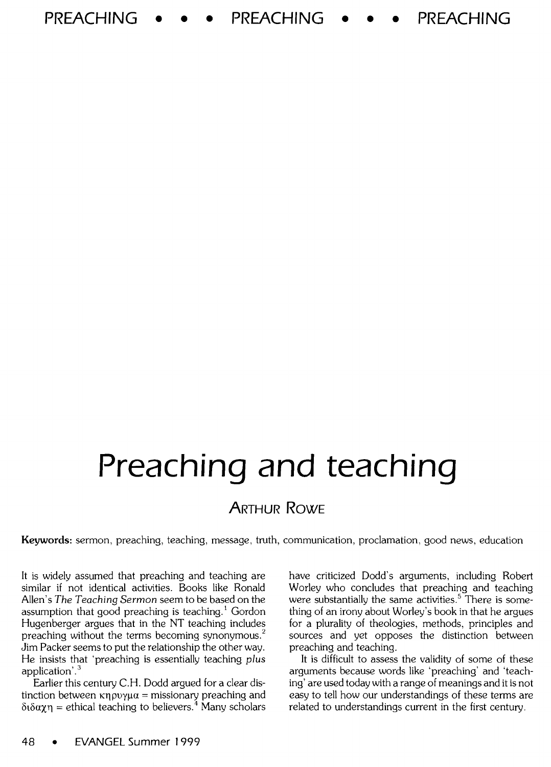**PREACHING** • • • **PREACHING** • • • **PREACHING** 

# **Preaching and teaching**

## ARTHUR RowE

Keywords: sermon, preaching, teaching, message, truth, communication, proclamation, good news, education

It is widely assumed that preaching and teaching are similar if not identical activities. Books like Ronald Allen's *The Teaching Sermon* seem to be based on the assumption that good preaching is teaching.<sup>1</sup> Gordon Hugenberger argues that in the NT teaching includes preaching without the terms becoming synonymous.<sup>2</sup> Jim Packer seems to put the relationship the other way. He insists that 'preaching is essentially teaching *plus*  application'.<sup>3</sup>

Earlier this century C.H. Dodd argued for a clear distinction between  $\kappa \eta \rho \nu \gamma \mu \alpha$  = missionary preaching and  $\delta \delta \alpha \chi \eta$  = ethical teaching to believers.<sup>4</sup> Many scholars have criticized Dodd's arguments, including Robert Worley who concludes that preaching and teaching were substantially the same activities.<sup>5</sup> There is something of an irony about Worley's book in that he argues for a plurality of theologies, methods, principles and sources and yet opposes the distinction between preaching and teaching.

It is difficult to assess the validity of some of these arguments because words like 'preaching' and 'teaching' are used today with a range of meanings and it is not easy to tell how our understandings of these terms are related to understandings current in the first century.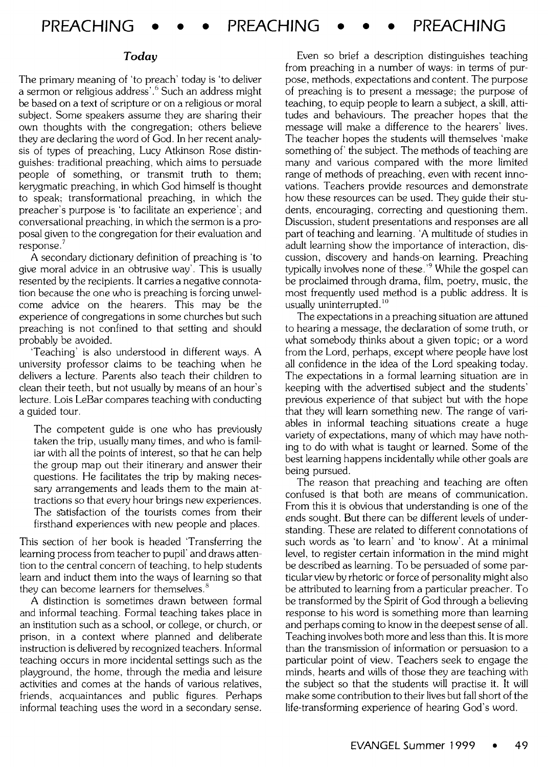#### *Today*

The primary meaning of 'to preach' today is 'to deliver a sermon or religious address'. 6 Such an address might be based on a text of scripture or on a religious or moral subject. Some speakers assume they are sharing their own thoughts with the congregation; others believe they are declaring the word of God. In her recent analysis of types of preaching, Lucy Atkinson Rose distinguishes: traditional preaching, which aims to persuade people of something, or transmit truth to them; kerygmatic preaching, in which God himself is thought to speak; transformational preaching, in which the preacher's purpose is 'to facilitate an experience'; and conversational preaching, in which the sermon is a proposal given to the congregation for their evaluation and response.

A secondary dictionary definition of preaching is 'to give moral advice in an obtrusive way'. This is usually resented by the recipients. It carries a negative connotation because the one who is preaching is forcing unwelcome advice on the hearers. This may be the experience of congregations in some churches but such preaching is not confined to that setting and should probably be avoided.

Teaching' is also understood in different ways. A university professor claims to be teaching when he delivers a lecture. Parents also teach their children to clean their teeth, but not usually by means of an hour's lecture. Lois LeBar compares teaching with conducting a guided tour.

The competent guide is one who has previously taken the trip, usually many times, and who is familiar with all the points of interest, so that he can help the group map out their itinerary and answer their questions. He facilitates the trip by making necessary arrangements and leads them to the main attractions so that every hour brings new experiences. The satisfaction of the tourists comes from their firsthand experiences with new people and places.

This section of her book is headed 'Transferring the learning process from teacher to pupil' and draws attention to the central concern of teaching, to help students learn and induct them into the ways of learning so that they can become learners for themselves.<sup>8</sup>

A distinction is sometimes drawn between formal and informal teaching. Formal teaching takes place in an institution such as a school, or college, or church, or prison, in a context where planned and deliberate instruction is delivered by recognized teachers. Informal teaching occurs in more incidental settings such as the playground, the home, through the media and leisure activities and comes at the hands of various relatives, friends, acquaintances and public figures. Perhaps informal teaching uses the word in a secondary sense.

Even so brief a description distinguishes teaching from preaching in a number of ways: in terms of purpose, methods, expectations and content. The purpose of preaching is to present a message; the purpose of teaching, to equip people to learn a subject, a skill, attitudes and behaviours. The preacher hopes that the message will make a difference to the hearers' lives. The teacher hopes the students will themselves 'make something of the subject. The methods of teaching are many and various compared with the more limited range of methods of preaching, even with recent innovations. Teachers provide resources and demonstrate how these resources can be used. They guide their students, encouraging, correcting and questioning them. Discussion, student presentations and responses are all part of teaching and learning. 'A multitude of studies in adult learning show the importance of interaction, discussion, discovery and hands-on learning. Preaching typically involves none of these.<sup>'9</sup> While the gospel can be proclaimed through drama, film, poetry, music, the most frequently used method is a public address. It is usually uninterrupted.<sup>10</sup>

The expectations in a preaching situation are attuned to hearing a message, the declaration of some truth, or what somebody thinks about a given topic; or a word from the Lord, perhaps, except where people have lost all confidence in the idea of the Lord speaking today. The expectations in a formal learning situation are in keeping with the advertised subject and the students' previous experience of that subject but with the hope that they will learn something new. The range of variables in informal teaching situations create a huge variety of expectations, many of which may have nothing to do with what is taught or learned. Some of the best learning happens incidentally while other goals are being pursued.

The reason that preaching and teaching are often confused is that both are means of communication. From this it is obvious that understanding is one of the ends sought. But there can be different levels of understanding. These are related to different connotations of such words as 'to learn' and 'to know'. At a minimal level, to register certain information in the mind might be described as learning. To be persuaded of some particular view by rhetoric or force of personality might also be attributed to learning from a particular preacher. To be transformed by the Spirit of God through a believing response to his word is something more than learning and perhaps coming to know in the deepest sense of all. Teaching involves both more and less than this. It is more than the transmission of information or persuasion to a particular point of view. Teachers seek to engage the minds, hearts and wills of those they are teaching with the subject so that the students will practise it. It will make some contribution to their lives but fall short of the life-transforming experience of hearing God's word.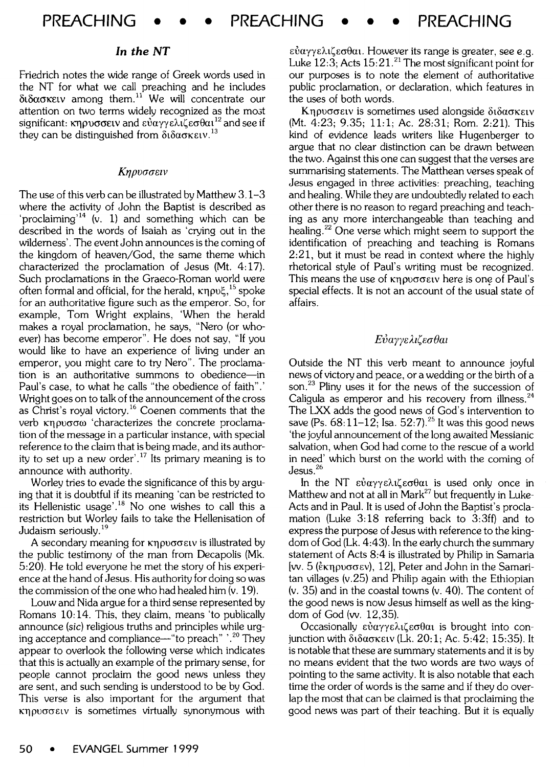### *In the NT*

Friedrich notes the wide range of Greek words used in the NT for what we call preaching and he includes  $\delta$ t $\delta$ ασκειν among them.<sup>11</sup> We will concentrate our attention on two terms widely recognized as the most significant:  $\kappa$ Novo  $\sigma$ etv and  $\varepsilon \nu \alpha \gamma \varepsilon \lambda \bar{\iota} \zeta \varepsilon \sigma \theta \alpha \iota^{12}$  and see if they can be distinguished from  $\delta_1 \delta_2 \sigma_3 \kappa \epsilon_1 v^{13}$ 

### Kηρυσσειν

The use of this verb can be illustrated by Matthew 3.1-3 where the activity of John the Baptist is described as 'proclaiming'<sup>14</sup> (v. 1) and something which can be described in the words of Isaiah as 'crying out in the wilderness'. The event John announces is the coming of the kingdom of heaven/God, the same theme which characterized the proclamation of Jesus (Mt.  $4:17$ ). Such proclamations in the Graeco-Roman world were often formal and official, for the herald,  $\kappa$ npu $\xi$ , <sup>15</sup> spoke for an authoritative figure such as the emperor. So, for example, Tom Wright explains, 'When the herald makes a royal proclamation, he says, "Nero (or whoever) has become emperor". He does not say, "If you would like to have an experience of living under an emperor, you might care to try Nero". The proclamation is an authoritative summons to obedience-in Paul's case, to what he calls "the obedience of faith".' Wright goes on to talk of the announcement of the cross as Christ's royal victory. 16 Coenen comments that the verb κηρυσσω 'characterizes the concrete proclamation of the message in a particular instance, with special reference to the claim that is being made, and its authority to set up a new order'.<sup>17</sup> Its primary meaning is to announce with authority.

Worley tries to evade the significance of this by arguing that it is doubtful if its meaning 'can be restricted to its Hellenistic usage'.<sup>18</sup> No one wishes to call this a restriction but Worley fails to take the Hellenisation of Judaism seriously. <sup>19</sup>

A secondary meaning for **Knovoolsulus** is illustrated by the public testimony of the man from Decapolis (Mk. 5:20). He told everyone he met the story of his experience at the hand of Jesus. His authority for doing so was the commission of the one who had healed him (v. 19).

Louw and Nida argue for a third sense represented by Romans 10:14. This, they claim, means 'to publically announce (sic) religious truths and principles while urging acceptance and compliance—"to preach"  $\cdot$ <sup>20</sup> They appear to overlook the following verse which indicates that this is actually an example of the primary sense, for people cannot proclaim the good news unless they are sent, and such sending is understood to be by God. This verse is also important for the argument that  $K\eta\rho\nu\sigma\sigma\epsilon\iota\nu$  is sometimes virtually synonymous with

 $\epsilon \dot{\nu} a \gamma \gamma \epsilon \lambda$ ιζεσθαι. However its range is greater, see e.g. Luke  $12:3$ ; Acts  $15:21$ .<sup>21</sup> The most significant point for our purposes is to note the element of authoritative public proclamation, or declaration, which features in the uses of both words.

Kηρυσσειν is sometimes used alongside διδασκειν (Mt. 4:23; 9.35; 11:1; Ac. 28:31; Rom. 2:21). This kind of evidence leads writers like Hugenberger to argue that no clear distinction can be drawn between the two. Against this one can suggest that the verses are summarising statements. The Matthean verses speak of Jesus engaged in three activities: preaching, teaching and healing. While they are undoubtedly related to each other there is no reason to regard preaching and teaching as any more interchangeable than teaching and healing. 22 One verse which might seem to support the identification of preaching and teaching is Romans 2:21, but it must be read in context where the highly rhetorical style of Paul's writing must be recognized. This means the use of  $k$ n  $\omega$  $\sigma$  $\epsilon$  iv here is one of Paul's special effects. It is not an account of the usual state of affairs.

#### $E\mathcal{V}$ *ayyελιζεσθαι*

Outside the NT this verb meant to announce joyful news of victory and peace, or a wedding or the birth of a son.<sup>23</sup> Pliny uses it for the news of the succession of Caligula as emperor and his recovery from illness.<sup>24</sup> The LXX adds the good news of God's intervention to save (Ps.  $68:11-12$ ; Isa. 52:7).<sup>25</sup> It was this good news 'the joyful announcement of the long awaited Messianic salvation, when God had come to the rescue of a world in need' which burst on the world with the coming of Jesus. <sup>26</sup>

In the NT  $\varepsilon \dot{v} a \gamma \gamma \varepsilon \lambda \iota \zeta \varepsilon \sigma \theta a \iota$  is used only once in Matthew and not at all in Mark<sup>27</sup> but frequently in Luke-Acts and in Paul. It is used of John the Baptist's proclamation (Luke 3:18 referring back to 3:3ff) and to express the purpose of Jesus with reference to the kingdom of God (Lk. 4:43). In the early church the summary statement of Acts 8:4 is illustrated by Philip in Samaria [w. 5 ( $\epsilon$ Kn $\rho$ v $\sigma$  $\epsilon$ v), 12], Peter and John in the Samaritan villages (v.25) and Philip again with the Ethiopian (v. 35) and in the coastal towns (v. 40). The content of the good news is now Jesus himself as well as the kingdom of God (w. 12,35).

Occasionally  $\varepsilon\dot{v}\alpha\gamma\gamma\varepsilon\lambda\iota\zeta\varepsilon\sigma\theta\alpha\iota$  is brought into conjunction with  $\delta \delta \alpha$  okely (Lk. 20:1; Ac. 5:42; 15:35). It is notable that these are summary statements and it is by no means evident that the two words are two ways of pointing to the same activity. It is also notable that each time the order of words is the same and if they do overlap the most that can be claimed is that proclaiming the good news was part of their teaching. But it is equally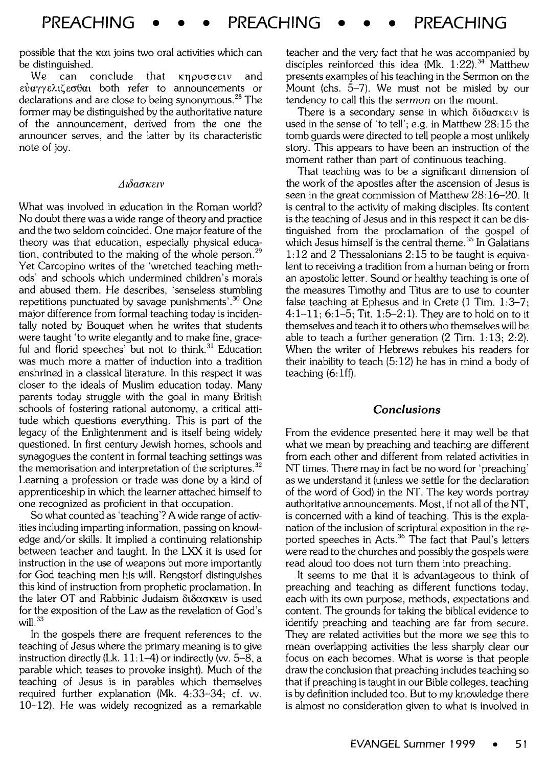possible that the  $\kappa \alpha$  joins two oral activities which can be distinguished.

We can conclude that  $\kappa$ npvoo $\epsilon$ tv and  $\epsilon \dot{\nu} \alpha \gamma \gamma \epsilon \lambda$ ιζεσθαι both refer to announcements or declarations and are close to being synonymous.<sup>28</sup> The former may be distinguished by the authoritative nature of the announcement, derived from the one the announcer serves, and the latter by its characteristic note of joy.

#### *Au5aoKetv*

What was involved in education in the Roman world? No doubt there was a wide range of theory and practice and the two seldom coincided. One major feature of the theory was that education, especially physical education, contributed to the making of the whole person.<sup>29</sup> Yet Carcopino writes of the 'wretched teaching methods' and schools which undermined children's morals and abused them. He describes, 'senseless stumbling repetitions punctuated by savage punishments'.<sup>30</sup> One major difference from formal teaching today is incidentally noted by Bouquet when he writes that students were taught 'to write elegantly and to make fine, graceful and florid speeches' but not to think. $31$  Education was much more a matter of induction into a tradition enshrined in a classical literature. In this respect it was closer to the ideals of Muslim education today. Many parents today struggle with the goal in many British schools of fostering rational autonomy, a critical attitude which questions everything. This is part of the legacy of the Enlightenment and is itself being widely questioned. In first century Jewish homes, schools and synagogues the content in formal teaching settings was the memorisation and interpretation of the scriptures.<sup>32</sup> Learning a profession or trade was done by a kind of apprenticeship in which the learner attached himself to one recognized as proficient in that occupation.

So what counted as 'teaching'? A wide range of activities including imparting information, passing on knowledge and/or skills. It implied a continuing relationship between teacher and taught. In the LXX it is used for instruction in the use of weapons but more importantly for God teaching men his will. Rengstorf distinguishes this kind of instruction from prophetic proclamation. In the later OT and Rabbinic Judaism  $\delta t \delta \alpha \sigma \kappa \epsilon \nu$  is used for the exposition of the Law as the revelation of God's will. $33$ 

In the gospels there are frequent references to the teaching of Jesus where the primary meaning is to give instruction directly (Lk.  $11:1-4$ ) or indirectly (vv. 5-8, a parable which teases to provoke insight). Much of the teaching of Jesus is in parables which themselves required further explanation (Mk. 4:33-34; cf. w. 10-12). He was widely recognized as a remarkable

teacher and the very fact that he was accompanied by disciples reinforced this idea (Mk.  $1:22$ ).<sup>34</sup> Matthew presents examples of his teaching in the Sermon on the Mount (chs. 5-7). We must not be misled by our tendency to call this the *sermon* on the mount.

There is a secondary sense in which  $\delta t \delta a \sigma \kappa \epsilon \nu$  is used in the sense of 'to tell'; e.g. in Matthew 28:15 the tomb guards were directed to tell people a most unlikely story. This appears to have been an instruction of the moment rather than part of continuous teaching.

That teaching was to be a significant dimension of the work of the apostles after the ascension of Jesus is seen in the great commission of Matthew 28:16-20. It is central to the activity of making disciples. Its content is the teaching of Jesus and in this respect it can be distinguished from the proclamation of the gospel of which Jesus himself is the central theme.<sup>35</sup> In Galatians 1:12 and 2 Thessalonians 2:15 to be taught is equivalent to receiving a tradition from a human being or from an apostolic letter. Sound or healthy teaching is one of the measures Timothy and Titus are to use to counter false teaching at Ephesus and in Crete (1 Tim. 1:3-7; 4:1-11; 6:1-5; Tit. 1:5-2:1). They are to hold on to it themselves and teach it to others who themselves will be able to teach a further generation (2 Tim. 1:13; 2:2). When the writer of Hebrews rebukes his readers for their inability to teach  $(5.12)$  he has in mind a body of teaching (6: lff).

#### *Conclusions*

From the evidence presented here it may well be that what we mean by preaching and teaching are different from each other and different from related activities in NT times. There may in fact be no word for 'preaching' as we understand it (unless we settle for the declaration of the word of God) in the NT. The key words portray authoritative announcements. Most, if not all of the NT, is concerned with a kind of teaching. This is the explanation of the inclusion of scriptural exposition in the reported speeches in Acts.<sup>36</sup> The fact that Paul's letters were read to the churches and possibly the gospels were read aloud too does not turn them into preaching.

It seems to me that it is advantageous to think of preaching and teaching as different functions today, each with its own purpose, methods, expectations and content. The grounds for taking the biblical evidence to identify preaching and teaching are far from secure. They are related activities but the more we see this to mean overlapping activities the less sharply clear our focus on each becomes. What is worse is that people draw the conclusion that preaching includes teaching so that if preaching is taught in our Bible colleges, teaching is by definition included too. But to my knowledge there is almost no consideration given to what is involved in